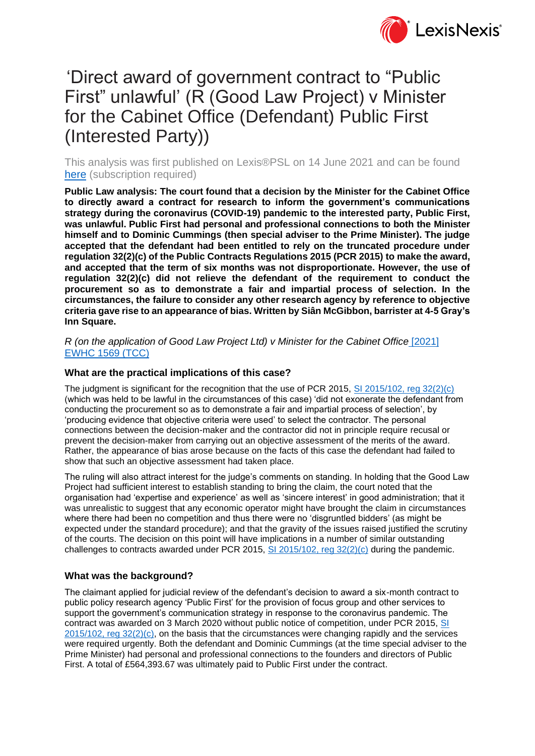

# 'Direct award of government contract to "Public First" unlawful' (R (Good Law Project) v Minister for the Cabinet Office (Defendant) Public First (Interested Party))

This analysis was first published on Lexis®PSL on 14 June 2021 and can be found [here](https://www.lexisnexis.com/uk/lexispsl/commercial/document/412012/62X9-S913-GXFD-80KX-00000-00/) (subscription required)

**Public Law analysis: The court found that a decision by the Minister for the Cabinet Office to directly award a contract for research to inform the government's communications strategy during the coronavirus (COVID-19) pandemic to the interested party, Public First, was unlawful. Public First had personal and professional connections to both the Minister himself and to Dominic Cummings (then special adviser to the Prime Minister). The judge accepted that the defendant had been entitled to rely on the truncated procedure under regulation 32(2)(c) of the Public Contracts Regulations 2015 (PCR 2015) to make the award, and accepted that the term of six months was not disproportionate. However, the use of regulation 32(2)(c) did not relieve the defendant of the requirement to conduct the procurement so as to demonstrate a fair and impartial process of selection. In the circumstances, the failure to consider any other research agency by reference to objective criteria gave rise to an appearance of bias. Written by Siân McGibbon, barrister at 4-5 Gray's Inn Square.**

*R (on the application of Good Law Project Ltd) v Minister for the Cabinet Office* [\[2021\]](https://www.lexisnexis.com/uk/lexispsl/commercial/docfromresult/D-WA-A-Y-Y-MsSWYWC-UUW-UZEYAAUUW-U-U-U-U-U-U-AZWZYYZWDU-AZWVVZDUDU-ZAYDBCEAE-U-U/2/linkHandler.faces?psldocinfo=_Direct_award_of_government_contract_to__Public_First__unlawful___R__Good_Law_Project__v_Minister_for_the_Cabinet_Office__Defendant__Public_First__Interested_Party__&linkInfo=F%23GB%23EWHCTCC%23sel1%252021%25year%252021%25page%251569%25&A=0.565893202027628&bct=A&risb=&service=citation&langcountry=GB)  [EWHC 1569 \(TCC\)](https://www.lexisnexis.com/uk/lexispsl/commercial/docfromresult/D-WA-A-Y-Y-MsSWYWC-UUW-UZEYAAUUW-U-U-U-U-U-U-AZWZYYZWDU-AZWVVZDUDU-ZAYDBCEAE-U-U/2/linkHandler.faces?psldocinfo=_Direct_award_of_government_contract_to__Public_First__unlawful___R__Good_Law_Project__v_Minister_for_the_Cabinet_Office__Defendant__Public_First__Interested_Party__&linkInfo=F%23GB%23EWHCTCC%23sel1%252021%25year%252021%25page%251569%25&A=0.565893202027628&bct=A&risb=&service=citation&langcountry=GB)

## **What are the practical implications of this case?**

The judgment is significant for the recognition that the use of PCR 2015, SI 2015/102, reg  $32(2)(c)$ (which was held to be lawful in the circumstances of this case) 'did not exonerate the defendant from conducting the procurement so as to demonstrate a fair and impartial process of selection', by 'producing evidence that objective criteria were used' to select the contractor. The personal connections between the decision-maker and the contractor did not in principle require recusal or prevent the decision-maker from carrying out an objective assessment of the merits of the award. Rather, the appearance of bias arose because on the facts of this case the defendant had failed to show that such an objective assessment had taken place.

The ruling will also attract interest for the judge's comments on standing. In holding that the Good Law Project had sufficient interest to establish standing to bring the claim, the court noted that the organisation had 'expertise and experience' as well as 'sincere interest' in good administration; that it was unrealistic to suggest that any economic operator might have brought the claim in circumstances where there had been no competition and thus there were no 'disgruntled bidders' (as might be expected under the standard procedure); and that the gravity of the issues raised justified the scrutiny of the courts. The decision on this point will have implications in a number of similar outstanding challenges to contracts awarded under PCR 2015,  $\overline{S}$  [2015/102, reg 32\(2\)\(c\)](https://www.lexisnexis.com/uk/lexispsl/commercial/docfromresult/D-WA-A-Y-Y-MsSWYWC-UUW-UZEYAAUUW-U-U-U-U-U-U-AZWZYYZWDU-AZWVVZDUDU-ZAYDBCEAE-U-U/2/linkHandler.faces?psldocinfo=_Direct_award_of_government_contract_to__Public_First__unlawful___R__Good_Law_Project__v_Minister_for_the_Cabinet_Office__Defendant__Public_First__Interested_Party__&linkInfo=F%23GB%23UK_SI%23sect%2532%25num%252015_102s%25section%2532%25&A=0.24657814435525915&bct=A&risb=&service=citation&langcountry=GB) during the pandemic.

### **What was the background?**

The claimant applied for judicial review of the defendant's decision to award a six-month contract to public policy research agency 'Public First' for the provision of focus group and other services to support the government's communication strategy in response to the coronavirus pandemic. The contract was awarded on 3 March 2020 without public notice of competition, under PCR 2015, SI  $2015/102$ , reg  $32(2)(c)$ , on the basis that the circumstances were changing rapidly and the services were required urgently. Both the defendant and Dominic Cummings (at the time special adviser to the Prime Minister) had personal and professional connections to the founders and directors of Public First. A total of £564,393.67 was ultimately paid to Public First under the contract.